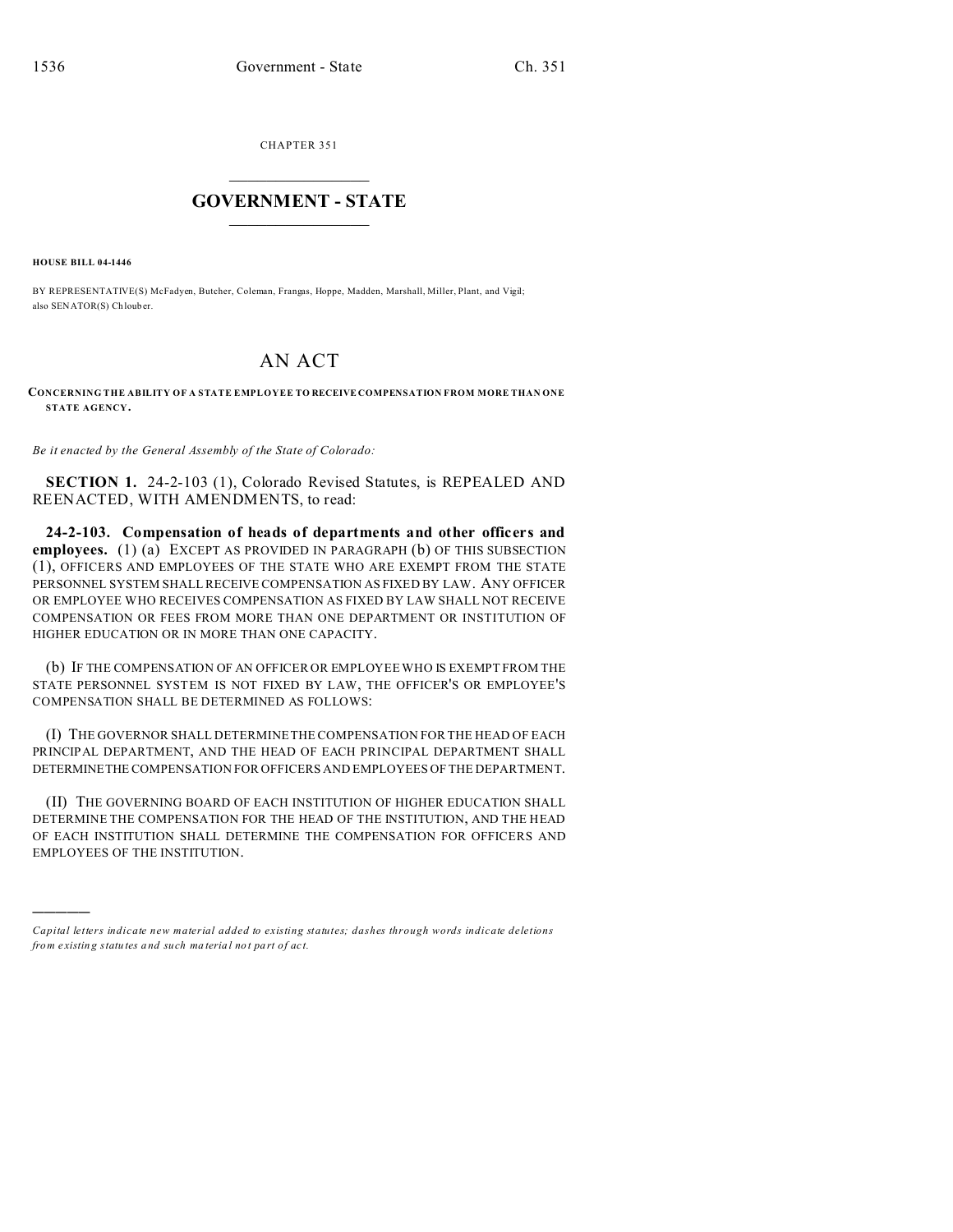CHAPTER 351  $\overline{\phantom{a}}$  , where  $\overline{\phantom{a}}$ 

## **GOVERNMENT - STATE**  $\_$   $\_$

**HOUSE BILL 04-1446**

)))))

BY REPRESENTATIVE(S) McFadyen, Butcher, Coleman, Frangas, Hoppe, Madden, Marshall, Miller, Plant, and Vigil; also SENATOR(S) Ch loub er.

## AN ACT

## **CONCERNING THE ABILITY OF A STATE EMPLOYEE TO RECEIVE COMPENSATION FROM MORE THAN ONE STATE AGENCY.**

*Be it enacted by the General Assembly of the State of Colorado:*

**SECTION 1.** 24-2-103 (1), Colorado Revised Statutes, is REPEALED AND REENACTED, WITH AMENDMENTS, to read:

**24-2-103. Compensation of heads of departments and other officers and employees.** (1) (a) EXCEPT AS PROVIDED IN PARAGRAPH (b) OF THIS SUBSECTION (1), OFFICERS AND EMPLOYEES OF THE STATE WHO ARE EXEMPT FROM THE STATE PERSONNEL SYSTEM SHALL RECEIVE COMPENSATION AS FIXED BY LAW. ANY OFFICER OR EMPLOYEE WHO RECEIVES COMPENSATION AS FIXED BY LAW SHALL NOT RECEIVE COMPENSATION OR FEES FROM MORE THAN ONE DEPARTMENT OR INSTITUTION OF HIGHER EDUCATION OR IN MORE THAN ONE CAPACITY.

(b) IF THE COMPENSATION OF AN OFFICER OR EMPLOYEE WHO IS EXEMPT FROM THE STATE PERSONNEL SYSTEM IS NOT FIXED BY LAW, THE OFFICER'S OR EMPLOYEE'S COMPENSATION SHALL BE DETERMINED AS FOLLOWS:

(I) THE GOVERNOR SHALL DETERMINE THE COMPENSATION FOR THE HEAD OF EACH PRINCIPAL DEPARTMENT, AND THE HEAD OF EACH PRINCIPAL DEPARTMENT SHALL DETERMINETHE COMPENSATION FOR OFFICERS AND EMPLOYEES OF THE DEPARTMENT.

(II) THE GOVERNING BOARD OF EACH INSTITUTION OF HIGHER EDUCATION SHALL DETERMINE THE COMPENSATION FOR THE HEAD OF THE INSTITUTION, AND THE HEAD OF EACH INSTITUTION SHALL DETERMINE THE COMPENSATION FOR OFFICERS AND EMPLOYEES OF THE INSTITUTION.

*Capital letters indicate new material added to existing statutes; dashes through words indicate deletions from e xistin g statu tes a nd such ma teria l no t pa rt of ac t.*